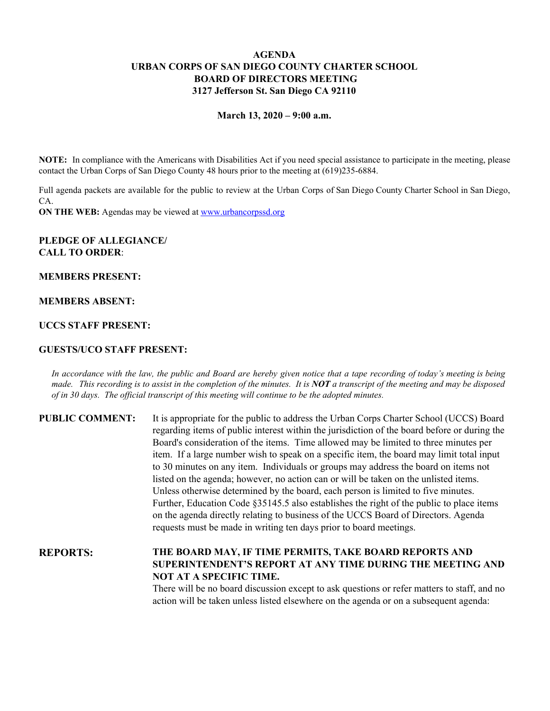# **AGENDA URBAN CORPS OF SAN DIEGO COUNTY CHARTER SCHOOL BOARD OF DIRECTORS MEETING 3127 Jefferson St. San Diego CA 92110**

#### **March 13, 2020 – 9:00 a.m.**

**NOTE:** In compliance with the Americans with Disabilities Act if you need special assistance to participate in the meeting, please contact the Urban Corps of San Diego County 48 hours prior to the meeting at (619)235-6884.

Full agenda packets are available for the public to review at the Urban Corps of San Diego County Charter School in San Diego, CA.

**ON THE WEB:** Agendas may be viewed at [www.urbancorpssd.org](http://www.urbancorpssd.org/)

# **PLEDGE OF ALLEGIANCE/ CALL TO ORDER**:

### **MEMBERS PRESENT:**

### **MEMBERS ABSENT:**

# **UCCS STAFF PRESENT:**

#### **GUESTS/UCO STAFF PRESENT:**

In accordance with the law, the public and Board are hereby given notice that a tape recording of today's meeting is being made. This recording is to assist in the completion of the minutes. It is  $NOT$  a transcript of the meeting and may be disposed *of in 30 days. The of icial transcript of this meeting will continue to be the adopted minutes.*

| <b>PUBLIC COMMENT:</b> | It is appropriate for the public to address the Urban Corps Charter School (UCCS) Board<br>regarding items of public interest within the jurisdiction of the board before or during the<br>Board's consideration of the items. Time allowed may be limited to three minutes per<br>item. If a large number wish to speak on a specific item, the board may limit total input<br>to 30 minutes on any item. Individuals or groups may address the board on items not<br>listed on the agenda; however, no action can or will be taken on the unlisted items.<br>Unless otherwise determined by the board, each person is limited to five minutes.<br>Further, Education Code §35145.5 also establishes the right of the public to place items<br>on the agenda directly relating to business of the UCCS Board of Directors. Agenda |
|------------------------|------------------------------------------------------------------------------------------------------------------------------------------------------------------------------------------------------------------------------------------------------------------------------------------------------------------------------------------------------------------------------------------------------------------------------------------------------------------------------------------------------------------------------------------------------------------------------------------------------------------------------------------------------------------------------------------------------------------------------------------------------------------------------------------------------------------------------------|
|                        | requests must be made in writing ten days prior to board meetings.                                                                                                                                                                                                                                                                                                                                                                                                                                                                                                                                                                                                                                                                                                                                                                 |

**REPORTS: THE BOARD MAY, IF TIME PERMITS, TAKE BOARD REPORTS AND SUPERINTENDENT'S REPORT AT ANY TIME DURING THE MEETING AND NOT AT A SPECIFIC TIME.** There will be no board discussion except to ask questions or refer matters to staff, and no action will be taken unless listed elsewhere on the agenda or on a subsequent agenda: